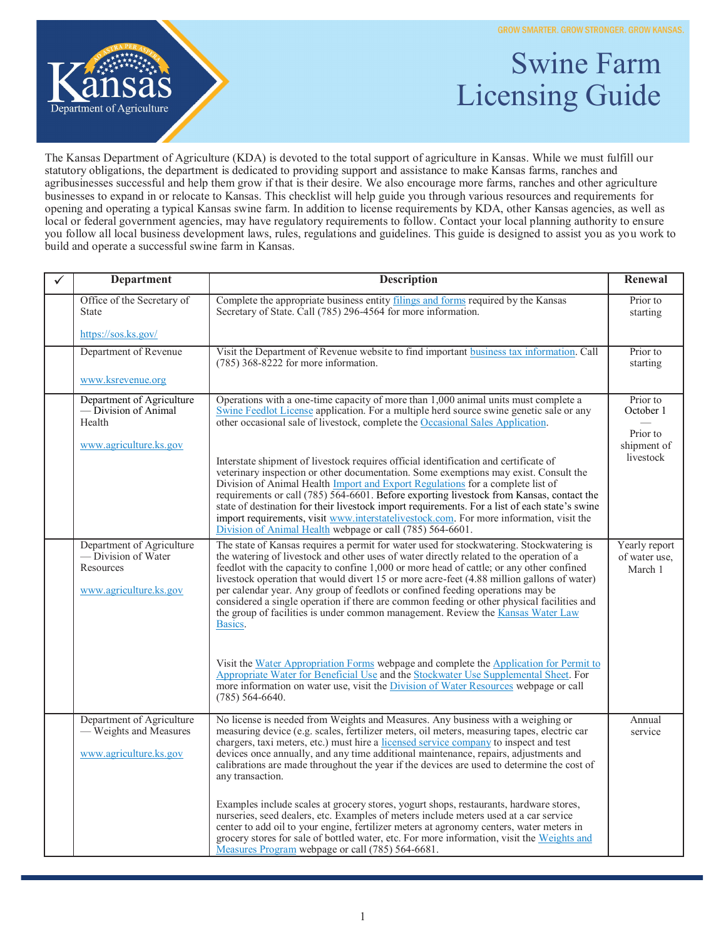**GROW SMARTER, GROW STRONGER, GROW KANSAS.** 



## Swine Farm Licensing Guide

The Kansas Department of Agriculture (KDA) is devoted to the total support of agriculture in Kansas. While we must fulfill our statutory obligations, the department is dedicated to providing support and assistance to make Kansas farms, ranches and agribusinesses successful and help them grow if that is their desire. We also encourage more farms, ranches and other agriculture businesses to expand in or relocate to Kansas. This checklist will help guide you through various resources and requirements for opening and operating a typical Kansas swine farm. In addition to license requirements by KDA, other Kansas agencies, as well as local or federal government agencies, may have regulatory requirements to follow. Contact your local planning authority to ensure you follow all local business development laws, rules, regulations and guidelines. This guide is designed to assist you as you work to build and operate a successful swine farm in Kansas.

| $\checkmark$ | <b>Department</b>                                                                      | <b>Description</b>                                                                                                                                                                                                                                                                                                                                                                                                                                                                                                                                                                                                                                           | Renewal                                          |
|--------------|----------------------------------------------------------------------------------------|--------------------------------------------------------------------------------------------------------------------------------------------------------------------------------------------------------------------------------------------------------------------------------------------------------------------------------------------------------------------------------------------------------------------------------------------------------------------------------------------------------------------------------------------------------------------------------------------------------------------------------------------------------------|--------------------------------------------------|
|              | Office of the Secretary of<br>State                                                    | Complete the appropriate business entity filings and forms required by the Kansas<br>Secretary of State. Call (785) 296-4564 for more information.                                                                                                                                                                                                                                                                                                                                                                                                                                                                                                           | Prior to<br>starting                             |
|              | https://sos.ks.gov/                                                                    |                                                                                                                                                                                                                                                                                                                                                                                                                                                                                                                                                                                                                                                              |                                                  |
|              | Department of Revenue                                                                  | Visit the Department of Revenue website to find important business tax information. Call<br>$(785)$ 368-8222 for more information.                                                                                                                                                                                                                                                                                                                                                                                                                                                                                                                           | Prior to<br>starting                             |
|              | www.ksrevenue.org                                                                      |                                                                                                                                                                                                                                                                                                                                                                                                                                                                                                                                                                                                                                                              |                                                  |
|              | Department of Agriculture<br>— Division of Animal<br>Health<br>www.agriculture.ks.gov  | Operations with a one-time capacity of more than 1,000 animal units must complete a<br>Swine Feedlot License application. For a multiple herd source swine genetic sale or any<br>other occasional sale of livestock, complete the Occasional Sales Application.                                                                                                                                                                                                                                                                                                                                                                                             | Prior to<br>October 1<br>Prior to<br>shipment of |
|              |                                                                                        | Interstate shipment of livestock requires official identification and certificate of<br>veterinary inspection or other documentation. Some exemptions may exist. Consult the<br>Division of Animal Health Import and Export Regulations for a complete list of<br>requirements or call (785) 564-6601. Before exporting livestock from Kansas, contact the<br>state of destination for their livestock import requirements. For a list of each state's swine<br>import requirements, visit www.interstatelivestock.com. For more information, visit the<br>Division of Animal Health webpage or call (785) 564-6601.                                         | livestock                                        |
|              | Department of Agriculture<br>-Division of Water<br>Resources<br>www.agriculture.ks.gov | The state of Kansas requires a permit for water used for stockwatering. Stockwatering is<br>the watering of livestock and other uses of water directly related to the operation of a<br>feedlot with the capacity to confine 1,000 or more head of cattle; or any other confined<br>livestock operation that would divert 15 or more acre-feet (4.88 million gallons of water)<br>per calendar year. Any group of feedlots or confined feeding operations may be<br>considered a single operation if there are common feeding or other physical facilities and<br>the group of facilities is under common management. Review the Kansas Water Law<br>Basics. | Yearly report<br>of water use,<br>March 1        |
|              |                                                                                        | Visit the Water Appropriation Forms webpage and complete the Application for Permit to<br>Appropriate Water for Beneficial Use and the Stockwater Use Supplemental Sheet. For<br>more information on water use, visit the Division of Water Resources webpage or call<br>$(785)$ 564-6640.                                                                                                                                                                                                                                                                                                                                                                   |                                                  |
|              | Department of Agriculture<br>— Weights and Measures<br>www.agriculture.ks.gov          | No license is needed from Weights and Measures. Any business with a weighing or<br>measuring device (e.g. scales, fertilizer meters, oil meters, measuring tapes, electric car<br>chargers, taxi meters, etc.) must hire a licensed service company to inspect and test<br>devices once annually, and any time additional maintenance, repairs, adjustments and<br>calibrations are made throughout the year if the devices are used to determine the cost of<br>any transaction.                                                                                                                                                                            | Annual<br>service                                |
|              |                                                                                        | Examples include scales at grocery stores, yogurt shops, restaurants, hardware stores,<br>nurseries, seed dealers, etc. Examples of meters include meters used at a car service<br>center to add oil to your engine, fertilizer meters at agronomy centers, water meters in<br>grocery stores for sale of bottled water, etc. For more information, visit the Weights and<br>Measures Program webpage or call (785) 564-6681.                                                                                                                                                                                                                                |                                                  |